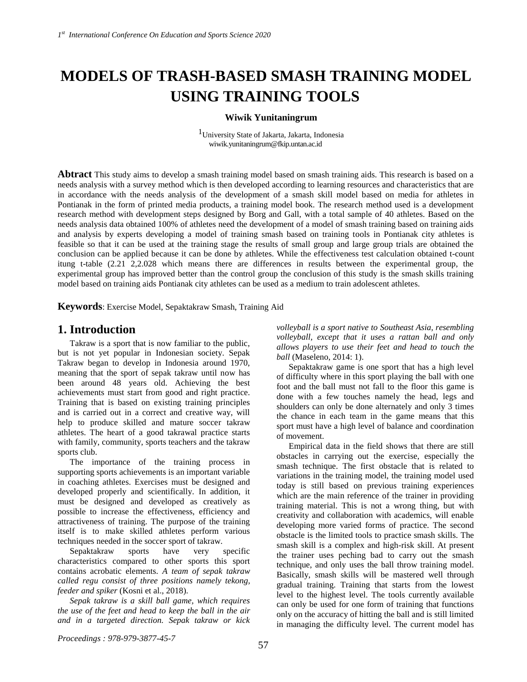# **MODELS OF TRASH-BASED SMASH TRAINING MODEL USING TRAINING TOOLS**

## **Wiwik Yunitaningrum**

1University State of Jakarta, Jakarta, Indonesia wiwik.yunitaningrum@fkip.untan.ac.id

**Abtract** This study aims to develop a smash training model based on smash training aids. This research is based on a needs analysis with a survey method which is then developed according to learning resources and characteristics that are in accordance with the needs analysis of the development of a smash skill model based on media for athletes in Pontianak in the form of printed media products, a training model book. The research method used is a development research method with development steps designed by Borg and Gall, with a total sample of 40 athletes. Based on the needs analysis data obtained 100% of athletes need the development of a model of smash training based on training aids and analysis by experts developing a model of training smash based on training tools in Pontianak city athletes is feasible so that it can be used at the training stage the results of small group and large group trials are obtained the conclusion can be applied because it can be done by athletes. While the effectiveness test calculation obtained t-count itung t-table (2.21 2,2.028 which means there are differences in results between the experimental group, the experimental group has improved better than the control group the conclusion of this study is the smash skills training model based on training aids Pontianak city athletes can be used as a medium to train adolescent athletes.

**Keywords**: Exercise Model, Sepaktakraw Smash, Training Aid

# **1. Introduction**

Takraw is a sport that is now familiar to the public, but is not yet popular in Indonesian society. Sepak Takraw began to develop in Indonesia around 1970, meaning that the sport of sepak takraw until now has been around 48 years old. Achieving the best achievements must start from good and right practice. Training that is based on existing training principles and is carried out in a correct and creative way, will help to produce skilled and mature soccer takraw athletes. The heart of a good takrawal practice starts with family, community, sports teachers and the takraw sports club.

The importance of the training process in supporting sports achievements is an important variable in coaching athletes. Exercises must be designed and developed properly and scientifically. In addition, it must be designed and developed as creatively as possible to increase the effectiveness, efficiency and attractiveness of training. The purpose of the training itself is to make skilled athletes perform various techniques needed in the soccer sport of takraw.

Sepaktakraw sports have very specific characteristics compared to other sports this sport contains acrobatic elements. *A team of sepak takraw called regu consist of three positions namely tekong, feeder and spiker* (Kosni et al., 2018)*.*

*Sepak takraw is a skill ball game, which requires the use of the feet and head to keep the ball in the air and in a targeted direction. Sepak takraw or kick* 

*volleyball is a sport native to Southeast Asia, resembling volleyball, except that it uses a rattan ball and only allows players to use their feet and head to touch the ball* (Maseleno, 2014: 1).

Sepaktakraw game is one sport that has a high level of difficulty where in this sport playing the ball with one foot and the ball must not fall to the floor this game is done with a few touches namely the head, legs and shoulders can only be done alternately and only 3 times the chance in each team in the game means that this sport must have a high level of balance and coordination of movement.

Empirical data in the field shows that there are still obstacles in carrying out the exercise, especially the smash technique. The first obstacle that is related to variations in the training model, the training model used today is still based on previous training experiences which are the main reference of the trainer in providing training material. This is not a wrong thing, but with creativity and collaboration with academics, will enable developing more varied forms of practice. The second obstacle is the limited tools to practice smash skills. The smash skill is a complex and high-risk skill. At present the trainer uses peching bad to carry out the smash technique, and only uses the ball throw training model. Basically, smash skills will be mastered well through gradual training. Training that starts from the lowest level to the highest level. The tools currently available can only be used for one form of training that functions only on the accuracy of hitting the ball and is still limited in managing the difficulty level. The current model has

*Proceedings : 978-979-3877-45-7*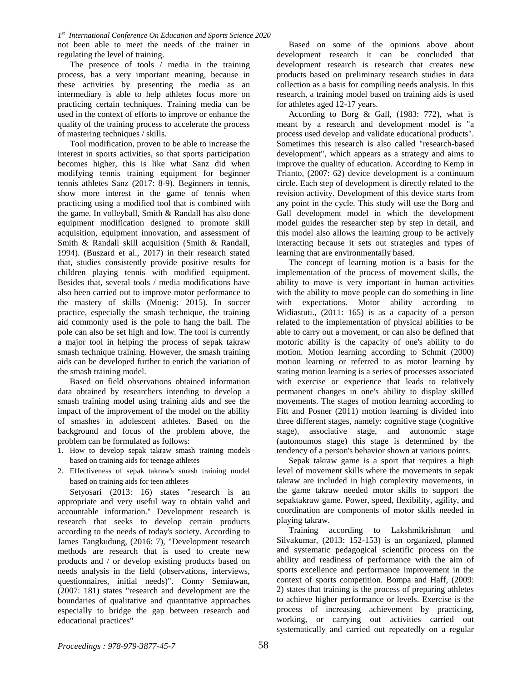*1 st International Conference On Education and Sports Science 2020* not been able to meet the needs of the trainer in regulating the level of training.

The presence of tools / media in the training process, has a very important meaning, because in these activities by presenting the media as an intermediary is able to help athletes focus more on practicing certain techniques. Training media can be used in the context of efforts to improve or enhance the quality of the training process to accelerate the process of mastering techniques / skills.

Tool modification, proven to be able to increase the interest in sports activities, so that sports participation becomes higher, this is like what Sanz did when modifying tennis training equipment for beginner tennis athletes Sanz (2017: 8-9). Beginners in tennis, show more interest in the game of tennis when practicing using a modified tool that is combined with the game. In volleyball, Smith & Randall has also done equipment modification designed to promote skill acquisition, equipment innovation, and assessment of Smith & Randall skill acquisition (Smith & Randall, 1994). (Buszard et al., 2017) in their research stated that, studies consistently provide positive results for children playing tennis with modified equipment. Besides that, several tools / media modifications have also been carried out to improve motor performance to the mastery of skills (Moenig: 2015). In soccer practice, especially the smash technique, the training aid commonly used is the pole to hang the ball. The pole can also be set high and low. The tool is currently a major tool in helping the process of sepak takraw smash technique training. However, the smash training aids can be developed further to enrich the variation of the smash training model.

Based on field observations obtained information data obtained by researchers intending to develop a smash training model using training aids and see the impact of the improvement of the model on the ability of smashes in adolescent athletes. Based on the background and focus of the problem above, the problem can be formulated as follows:

- 1. How to develop sepak takraw smash training models based on training aids for teenage athletes
- 2. Effectiveness of sepak takraw's smash training model based on training aids for teen athletes

Setyosari (2013: 16) states "research is an appropriate and very useful way to obtain valid and accountable information." Development research is research that seeks to develop certain products according to the needs of today's society. According to James Tangkudung, (2016: 7), "Development research methods are research that is used to create new products and / or develop existing products based on needs analysis in the field (observations, interviews, questionnaires, initial needs)". Conny Semiawan, (2007: 181) states "research and development are the boundaries of qualitative and quantitative approaches especially to bridge the gap between research and educational practices"

Based on some of the opinions above about development research it can be concluded that development research is research that creates new products based on preliminary research studies in data collection as a basis for compiling needs analysis. In this research, a training model based on training aids is used for athletes aged 12-17 years.

According to Borg & Gall, (1983: 772), what is meant by a research and development model is "a process used develop and validate educational products". Sometimes this research is also called "research-based development", which appears as a strategy and aims to improve the quality of education. According to Kemp in Trianto, (2007: 62) device development is a continuum circle. Each step of development is directly related to the revision activity. Development of this device starts from any point in the cycle. This study will use the Borg and Gall development model in which the development model guides the researcher step by step in detail, and this model also allows the learning group to be actively interacting because it sets out strategies and types of learning that are environmentally based.

The concept of learning motion is a basis for the implementation of the process of movement skills, the ability to move is very important in human activities with the ability to move people can do something in line with expectations. Motor ability according to Widiastuti., (2011: 165) is as a capacity of a person related to the implementation of physical abilities to be able to carry out a movement, or can also be defined that motoric ability is the capacity of one's ability to do motion. Motion learning according to Schmit (2000) motion learning or referred to as motor learning by stating motion learning is a series of processes associated with exercise or experience that leads to relatively permanent changes in one's ability to display skilled movements. The stages of motion learning according to Fitt and Posner (2011) motion learning is divided into three different stages, namely: cognitive stage (cognitive stage), associative stage, and autonomic stage (autonoumos stage) this stage is determined by the tendency of a person's behavior shown at various points.

Sepak takraw game is a sport that requires a high level of movement skills where the movements in sepak takraw are included in high complexity movements, in the game takraw needed motor skills to support the sepaktakraw game. Power, speed, flexibility, agility, and coordination are components of motor skills needed in playing takraw.

Training according to Lakshmikrishnan and Silvakumar, (2013: 152-153) is an organized, planned and systematic pedagogical scientific process on the ability and readiness of performance with the aim of sports excellence and performance improvement in the context of sports competition. Bompa and Haff, (2009: 2) states that training is the process of preparing athletes to achieve higher performance or levels. Exercise is the process of increasing achievement by practicing, working, or carrying out activities carried out systematically and carried out repeatedly on a regular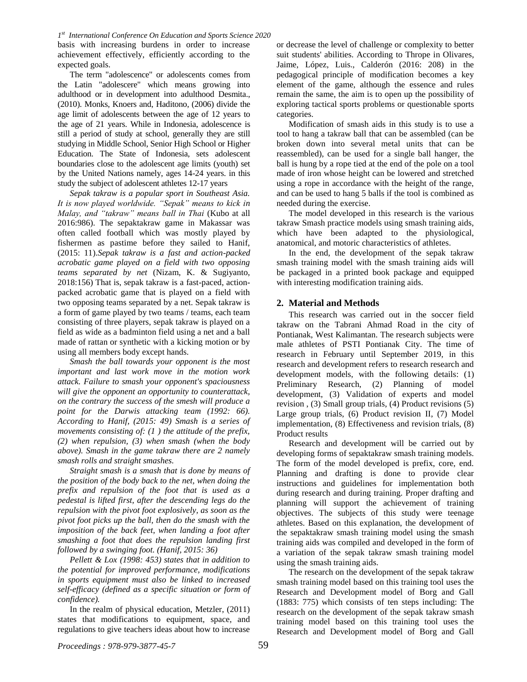basis with increasing burdens in order to increase achievement effectively, efficiently according to the expected goals.

The term "adolescence" or adolescents comes from the Latin "adolescere" which means growing into adulthood or in development into adulthood Desmita., (2010). Monks, Knoers and, Haditono, (2006) divide the age limit of adolescents between the age of 12 years to the age of 21 years. While in Indonesia, adolescence is still a period of study at school, generally they are still studying in Middle School, Senior High School or Higher Education. The State of Indonesia, sets adolescent boundaries close to the adolescent age limits (youth) set by the United Nations namely, ages 14-24 years. in this study the subject of adolescent athletes 12-17 years

*Sepak takraw is a popular sport in Southeast Asia. It is now played worldwide. "Sepak" means to kick in Malay, and "takraw" means ball in Thai* (Kubo at all 2016:986). The sepaktakraw game in Makassar was often called football which was mostly played by fishermen as pastime before they sailed to Hanif, (2015: 11).*Sepak takraw is a fast and action-packed acrobatic game played on a field with two opposing teams separated by net* (Nizam, K. & Sugiyanto, 2018:156) That is, sepak takraw is a fast-paced, actionpacked acrobatic game that is played on a field with two opposing teams separated by a net. Sepak takraw is a form of game played by two teams / teams, each team consisting of three players, sepak takraw is played on a field as wide as a badminton field using a net and a ball made of rattan or synthetic with a kicking motion or by using all members body except hands.

*Smash the ball towards your opponent is the most important and last work move in the motion work attack. Failure to smash your opponent's spaciousness will give the opponent an opportunity to counterattack, on the contrary the success of the smesh will produce a point for the Darwis attacking team (1992: 66). According to Hanif, (2015: 49) Smash is a series of movements consisting of: (1 ) the attitude of the prefix, (2) when repulsion, (3) when smash (when the body above). Smash in the game takraw there are 2 namely smash rolls and straight smashes.*

*Straight smash is a smash that is done by means of the position of the body back to the net, when doing the prefix and repulsion of the foot that is used as a pedestal is lifted first, after the descending legs do the repulsion with the pivot foot explosively, as soon as the pivot foot picks up the ball, then do the smash with the imposition of the back feet, when landing a foot after smashing a foot that does the repulsion landing first followed by a swinging foot. (Hanif, 2015: 36)*

*Pellett & Lox (1998: 453) states that in addition to the potential for improved performance, modifications in sports equipment must also be linked to increased self-efficacy (defined as a specific situation or form of confidence).*

In the realm of physical education, Metzler, (2011) states that modifications to equipment, space, and regulations to give teachers ideas about how to increase

or decrease the level of challenge or complexity to better suit students' abilities. According to Thrope in Olivares, Jaime, López, Luis., Calderón (2016: 208) in the pedagogical principle of modification becomes a key element of the game, although the essence and rules remain the same, the aim is to open up the possibility of exploring tactical sports problems or questionable sports categories.

Modification of smash aids in this study is to use a tool to hang a takraw ball that can be assembled (can be broken down into several metal units that can be reassembled), can be used for a single ball hanger, the ball is hung by a rope tied at the end of the pole on a tool made of iron whose height can be lowered and stretched using a rope in accordance with the height of the range, and can be used to hang 5 balls if the tool is combined as needed during the exercise.

The model developed in this research is the various takraw Smash practice models using smash training aids, which have been adapted to the physiological, anatomical, and motoric characteristics of athletes.

In the end, the development of the sepak takraw smash training model with the smash training aids will be packaged in a printed book package and equipped with interesting modification training aids.

# **2. Material and Methods**

This research was carried out in the soccer field takraw on the Tabrani Ahmad Road in the city of Pontianak, West Kalimantan. The research subjects were male athletes of PSTI Pontianak City. The time of research in February until September 2019, in this research and development refers to research research and development models, with the following details: (1) Preliminary Research, (2) Planning of model development, (3) Validation of experts and model revision , (3) Small group trials, (4) Product revisions (5) Large group trials, (6) Product revision II, (7) Model implementation, (8) Effectiveness and revision trials, (8) Product results

Research and development will be carried out by developing forms of sepaktakraw smash training models. The form of the model developed is prefix, core, end. Planning and drafting is done to provide clear instructions and guidelines for implementation both during research and during training. Proper drafting and planning will support the achievement of training objectives. The subjects of this study were teenage athletes. Based on this explanation, the development of the sepaktakraw smash training model using the smash training aids was compiled and developed in the form of a variation of the sepak takraw smash training model using the smash training aids.

The research on the development of the sepak takraw smash training model based on this training tool uses the Research and Development model of Borg and Gall (1883: 775) which consists of ten steps including: The research on the development of the sepak takraw smash training model based on this training tool uses the Research and Development model of Borg and Gall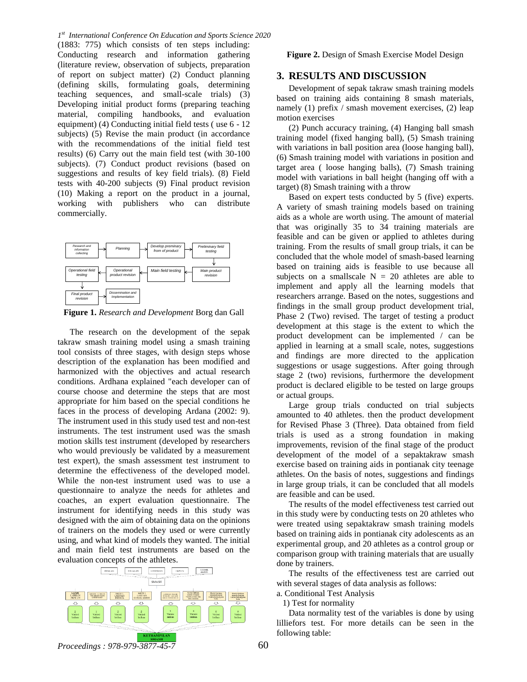*1 st International Conference On Education and Sports Science 2020* (1883: 775) which consists of ten steps including: Conducting research and information gathering (literature review, observation of subjects, preparation of report on subject matter) (2) Conduct planning (defining skills, formulating goals, determining teaching sequences, and small-scale trials) (3) Developing initial product forms (preparing teaching material, compiling handbooks, and evaluation equipment) (4) Conducting initial field tests ( use 6 - 12 subjects) (5) Revise the main product (in accordance with the recommendations of the initial field test results) (6) Carry out the main field test (with 30-100 subjects). (7) Conduct product revisions (based on suggestions and results of key field trials). (8) Field tests with 40-200 subjects (9) Final product revision (10) Making a report on the product in a journal, working with publishers who can distribute commercially.



**Figure 1.** *Research and Development* Borg dan Gall

The research on the development of the sepak takraw smash training model using a smash training tool consists of three stages, with design steps whose description of the explanation has been modified and harmonized with the objectives and actual research conditions. Ardhana explained "each developer can of course choose and determine the steps that are most appropriate for him based on the special conditions he faces in the process of developing Ardana (2002: 9). The instrument used in this study used test and non-test instruments. The test instrument used was the smash motion skills test instrument (developed by researchers who would previously be validated by a measurement test expert), the smash assessment test instrument to determine the effectiveness of the developed model. While the non-test instrument used was to use a questionnaire to analyze the needs for athletes and coaches, an expert evaluation questionnaire. The instrument for identifying needs in this study was designed with the aim of obtaining data on the opinions of trainers on the models they used or were currently using, and what kind of models they wanted. The initial and main field test instruments are based on the evaluation concepts of the athletes.



**Figure 2.** Design of Smash Exercise Model Design

## **3. RESULTS AND DISCUSSION**

Development of sepak takraw smash training models based on training aids containing 8 smash materials, namely (1) prefix / smash movement exercises, (2) leap motion exercises

(2) Punch accuracy training, (4) Hanging ball smash training model (fixed hanging ball), (5) Smash training with variations in ball position area (loose hanging ball), (6) Smash training model with variations in position and target area ( loose hanging balls), (7) Smash training model with variations in ball height (hanging off with a target) (8) Smash training with a throw

Based on expert tests conducted by 5 (five) experts. A variety of smash training models based on training aids as a whole are worth using. The amount of material that was originally 35 to 34 training materials are feasible and can be given or applied to athletes during training. From the results of small group trials, it can be concluded that the whole model of smash-based learning based on training aids is feasible to use because all subjects on a smallscale  $N = 20$  athletes are able to implement and apply all the learning models that researchers arrange. Based on the notes, suggestions and findings in the small group product development trial, Phase 2 (Two) revised. The target of testing a product development at this stage is the extent to which the product development can be implemented / can be applied in learning at a small scale, notes, suggestions and findings are more directed to the application suggestions or usage suggestions. After going through stage 2 (two) revisions, furthermore the development product is declared eligible to be tested on large groups or actual groups.

Large group trials conducted on trial subjects amounted to 40 athletes. then the product development for Revised Phase 3 (Three). Data obtained from field trials is used as a strong foundation in making improvements, revision of the final stage of the product development of the model of a sepaktakraw smash exercise based on training aids in pontianak city teenage athletes. On the basis of notes, suggestions and findings in large group trials, it can be concluded that all models are feasible and can be used.

The results of the model effectiveness test carried out in this study were by conducting tests on 20 athletes who were treated using sepaktakraw smash training models based on training aids in pontianak city adolescents as an experimental group, and 20 athletes as a control group or comparison group with training materials that are usually done by trainers.

The results of the effectiveness test are carried out with several stages of data analysis as follows:

a. Conditional Test Analysis

1) Test for normality

Data normality test of the variables is done by using lilliefors test. For more details can be seen in the following table:

*Proceedings : 978-979-3877-45-7*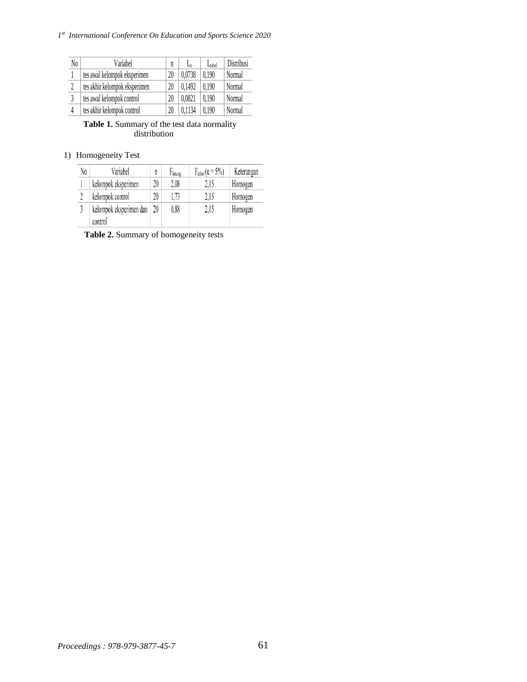#### *1 st International Conference On Education and Sports Science 2020*

| N <sub>0</sub> | Variabel                      | n  | L٥     | $L_{\text{label}}$ | Distribusi |
|----------------|-------------------------------|----|--------|--------------------|------------|
|                | tes awal kelompok eksperimen  | 20 | 0.0738 | 0.190              | Normal     |
| 2              | tes akhir kelompok eksperimen | 20 | 0.1492 | 0.190              | Normal     |
| 3              | tes awal kelompok control     | 20 | 0.0821 | 0.190              | Normal     |
|                | tes akhir kelompok control    | 20 | 0.1134 | 0.190              | Normal     |

**Table 1.** Summary of the test data normality distribution

# 1) Homogeneity Test

| No | Variabel                | n  | Fhitung | $F_{\text{table}}(\alpha = 5\%)$ | Keterangan |
|----|-------------------------|----|---------|----------------------------------|------------|
|    | kelompok eksperimen     | 20 | 2,08    | 2,15                             | Homogen    |
|    | kelompok control        | 20 | 1,73    | 2,15                             | Homogen    |
|    | kelompok eksperimen dan | 20 | 0,88    | 2,15                             | Homogen    |
|    | control                 |    |         |                                  |            |

**Table 2.** Summary of homogeneity tests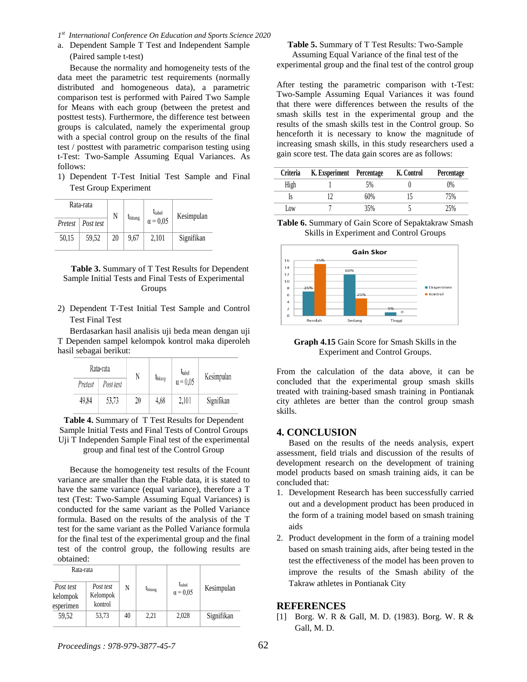- *1 st International Conference On Education and Sports Science 2020*
- a. Dependent Sample T Test and Independent Sample (Paired sample t-test)

Because the normality and homogeneity tests of the data meet the parametric test requirements (normally distributed and homogeneous data), a parametric comparison test is performed with Paired Two Sample for Means with each group (between the pretest and posttest tests). Furthermore, the difference test between groups is calculated, namely the experimental group with a special control group on the results of the final test / posttest with parametric comparison testing using t-Test: Two-Sample Assuming Equal Variances. As follows:

1) Dependent T-Test Initial Test Sample and Final Test Group Experiment

|       | Rata-rata           | N  | <i>thitung</i> | t <sub>tabel</sub> | Kesimpulan |
|-------|---------------------|----|----------------|--------------------|------------|
|       | Pretest   Post test |    |                | $\alpha = 0.05$    |            |
| 50,15 | 59.52               | 20 | 9.67           | 2.101              | Signifikan |

## **Table 3.** Summary of T Test Results for Dependent Sample Initial Tests and Final Tests of Experimental Groups

2) Dependent T-Test Initial Test Sample and Control Test Final Test

Berdasarkan hasil analisis uji beda mean dengan uji T Dependen sampel kelompok kontrol maka diperoleh hasil sebagai berikut:

| Rata-rata |           | N  |                               | <b>I</b> tabel  | Kesimpulan |
|-----------|-----------|----|-------------------------------|-----------------|------------|
| Pretest   | Post test |    | <i><b><i>U</i></b></i> hitung | $\alpha$ = 0.05 |            |
| 49,84     | 53.73     | 20 | 4.68                          | 2.101           | Signifikan |

**Table 4.** Summary of T Test Results for Dependent Sample Initial Tests and Final Tests of Control Groups Uji T Independen Sample Final test of the experimental group and final test of the Control Group

Because the homogeneity test results of the Fcount variance are smaller than the Ftable data, it is stated to have the same variance (equal variance), therefore a T test (Test: Two-Sample Assuming Equal Variances) is conducted for the same variant as the Polled Variance formula. Based on the results of the analysis of the T test for the same variant as the Polled Variance formula for the final test of the experimental group and the final test of the control group, the following results are obtained: **Kan-atia**<br>
East Poortest **No. 1**<br>
Internal of  $\frac{1}{2}$   $\frac{1}{2}$   $\frac{1}{2}$   $\frac{1}{2}$   $\frac{1}{2}$   $\frac{1}{2}$   $\frac{1}{2}$   $\frac{1}{2}$   $\frac{1}{2}$   $\frac{1}{2}$   $\frac{1}{2}$   $\frac{1}{2}$   $\frac{1}{2}$   $\frac{1}{2}$   $\frac{1}{2}$   $\frac{1}{2}$   $\frac{1}{2}$   $\frac{$ 

| Rata-rata                          |                                  |    |                |                                       |            |
|------------------------------------|----------------------------------|----|----------------|---------------------------------------|------------|
| Post test<br>kelompok<br>esperimen | Post test<br>Kelompok<br>kontrol | N  | <i>thitung</i> | t <sub>tabel</sub><br>$\alpha = 0.05$ | Kesimpulan |
| 59.52                              | 53,73                            | 40 | 2.21           | 2,028                                 | Signifikan |

## **Table 5.** Summary of T Test Results: Two-Sample Assuming Equal Variance of the final test of the

experimental group and the final test of the control group

After testing the parametric comparison with t-Test: Two-Sample Assuming Equal Variances it was found that there were differences between the results of the smash skills test in the experimental group and the results of the smash skills test in the Control group. So henceforth it is necessary to know the magnitude of increasing smash skills, in this study researchers used a gain score test. The data gain scores are as follows:

| <b>Criteria</b> | K. Exsperiment Percentage |     | K. Control | <b>Percentage</b> |
|-----------------|---------------------------|-----|------------|-------------------|
| High            |                           | 5%  |            | 0%                |
|                 |                           | 60% |            | 75%               |
| Low             |                           | 35% |            | .5%               |





**Graph 4.15** Gain Score for Smash Skills in the Experiment and Control Groups.

From the calculation of the data above, it can be concluded that the experimental group smash skills treated with training-based smash training in Pontianak city athletes are better than the control group smash skills.

# **4. CONCLUSION**

Based on the results of the needs analysis, expert assessment, field trials and discussion of the results of development research on the development of training model products based on smash training aids, it can be concluded that:

- 1. Development Research has been successfully carried out and a development product has been produced in the form of a training model based on smash training aids
- 2. Product development in the form of a training model based on smash training aids, after being tested in the test the effectiveness of the model has been proven to improve the results of the Smash ability of the Takraw athletes in Pontianak City

## **REFERENCES**

[1] Borg. W. R & Gall, M. D. (1983). Borg. W. R &